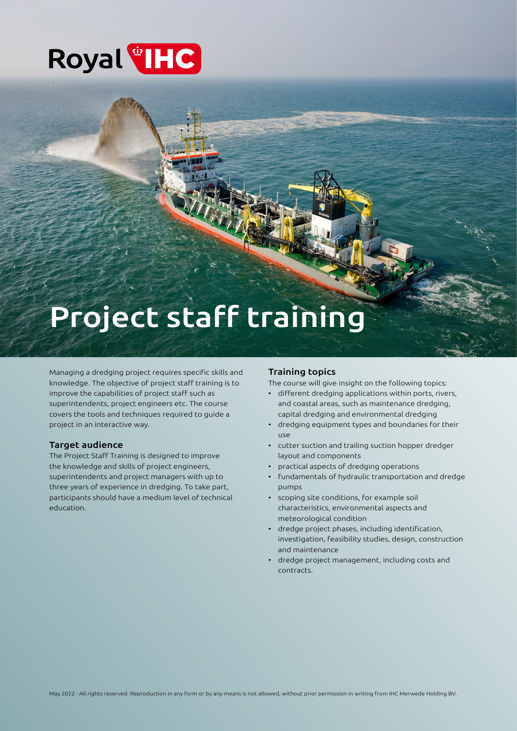# Royal<sup>®</sup>HC

# Project staff training

Managing a dredging project requires specific skills and knowledge. The objective of project staff training is to improve the capabilities of project staff such as superintendents, project engineers etc. The course covers the tools and techniques required to guide a project in an interactive way.

## Target audience

The Project Staff Training is designed to improve the knowledge and skills of project engineers, superintendents and project managers with up to three years of experience in dredging. To take part, participants should have a medium level of technical education.

# Training topics

The course will give insight on the following topics:

- different dredging applications within ports, rivers, and coastal areas, such as maintenance dredging, capital dredging and environmental dredging
- dredging equipment types and boundaries for their use
- cutter suction and trailing suction hopper dredger layout and components
- practical aspects of dredging operations
- fundamentals of hydraulic transportation and dredge pumps
- scoping site conditions, for example soil characteristics, environmental aspects and meteorological condition
- dredge project phases, including identification, investigation, feasibility studies, design, construction and maintenance
- dredge project management, including costs and contracts.